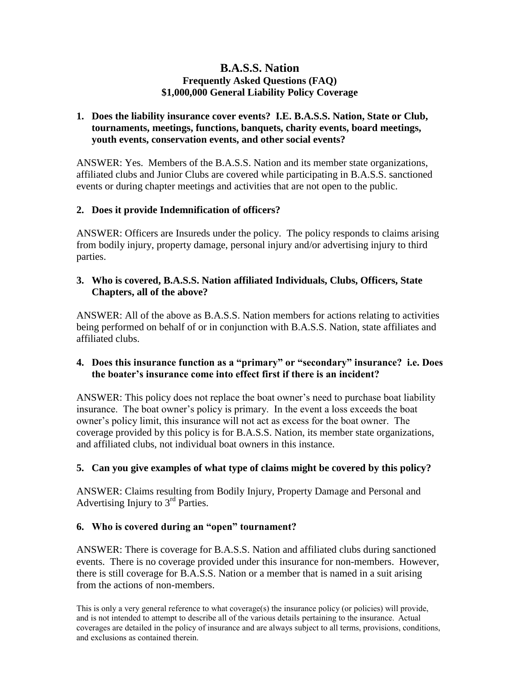# **B.A.S.S. Nation Frequently Asked Questions (FAQ) \$1,000,000 General Liability Policy Coverage**

# **1. Does the liability insurance cover events? I.E. B.A.S.S. Nation, State or Club, tournaments, meetings, functions, banquets, charity events, board meetings, youth events, conservation events, and other social events?**

ANSWER: Yes. Members of the B.A.S.S. Nation and its member state organizations, affiliated clubs and Junior Clubs are covered while participating in B.A.S.S. sanctioned events or during chapter meetings and activities that are not open to the public.

# **2. Does it provide Indemnification of officers?**

ANSWER: Officers are Insureds under the policy. The policy responds to claims arising from bodily injury, property damage, personal injury and/or advertising injury to third parties.

## **3. Who is covered, B.A.S.S. Nation affiliated Individuals, Clubs, Officers, State Chapters, all of the above?**

ANSWER: All of the above as B.A.S.S. Nation members for actions relating to activities being performed on behalf of or in conjunction with B.A.S.S. Nation, state affiliates and affiliated clubs.

# **4. Does this insurance function as a "primary" or "secondary" insurance? i.e. Does the boater's insurance come into effect first if there is an incident?**

ANSWER: This policy does not replace the boat owner's need to purchase boat liability insurance. The boat owner's policy is primary. In the event a loss exceeds the boat owner's policy limit, this insurance will not act as excess for the boat owner. The coverage provided by this policy is for B.A.S.S. Nation, its member state organizations, and affiliated clubs, not individual boat owners in this instance.

# **5. Can you give examples of what type of claims might be covered by this policy?**

ANSWER: Claims resulting from Bodily Injury, Property Damage and Personal and Advertising Injury to  $3<sup>rd</sup>$  Parties.

# **6. Who is covered during an "open" tournament?**

ANSWER: There is coverage for B.A.S.S. Nation and affiliated clubs during sanctioned events. There is no coverage provided under this insurance for non-members. However, there is still coverage for B.A.S.S. Nation or a member that is named in a suit arising from the actions of non-members.

This is only a very general reference to what coverage(s) the insurance policy (or policies) will provide, and is not intended to attempt to describe all of the various details pertaining to the insurance. Actual coverages are detailed in the policy of insurance and are always subject to all terms, provisions, conditions, and exclusions as contained therein.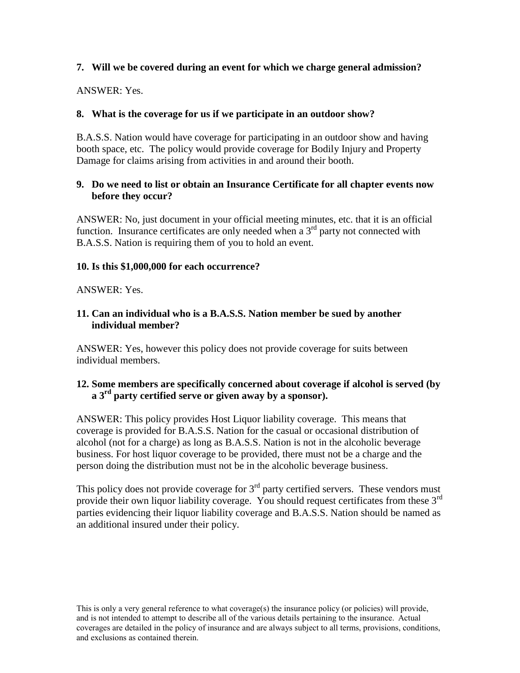# **7. Will we be covered during an event for which we charge general admission?**

ANSWER: Yes.

# **8. What is the coverage for us if we participate in an outdoor show?**

B.A.S.S. Nation would have coverage for participating in an outdoor show and having booth space, etc. The policy would provide coverage for Bodily Injury and Property Damage for claims arising from activities in and around their booth.

## **9. Do we need to list or obtain an Insurance Certificate for all chapter events now before they occur?**

ANSWER: No, just document in your official meeting minutes, etc. that it is an official function. Insurance certificates are only needed when a  $3<sup>rd</sup>$  party not connected with B.A.S.S. Nation is requiring them of you to hold an event.

# **10. Is this \$1,000,000 for each occurrence?**

#### ANSWER: Yes.

## **11. Can an individual who is a B.A.S.S. Nation member be sued by another individual member?**

ANSWER: Yes, however this policy does not provide coverage for suits between individual members.

#### **12. Some members are specifically concerned about coverage if alcohol is served (by a 3rd party certified serve or given away by a sponsor).**

ANSWER: This policy provides Host Liquor liability coverage. This means that coverage is provided for B.A.S.S. Nation for the casual or occasional distribution of alcohol (not for a charge) as long as B.A.S.S. Nation is not in the alcoholic beverage business. For host liquor coverage to be provided, there must not be a charge and the person doing the distribution must not be in the alcoholic beverage business.

This policy does not provide coverage for  $3<sup>rd</sup>$  party certified servers. These vendors must provide their own liquor liability coverage. You should request certificates from these  $3<sup>rd</sup>$ parties evidencing their liquor liability coverage and B.A.S.S. Nation should be named as an additional insured under their policy.

This is only a very general reference to what coverage(s) the insurance policy (or policies) will provide, and is not intended to attempt to describe all of the various details pertaining to the insurance. Actual coverages are detailed in the policy of insurance and are always subject to all terms, provisions, conditions, and exclusions as contained therein.